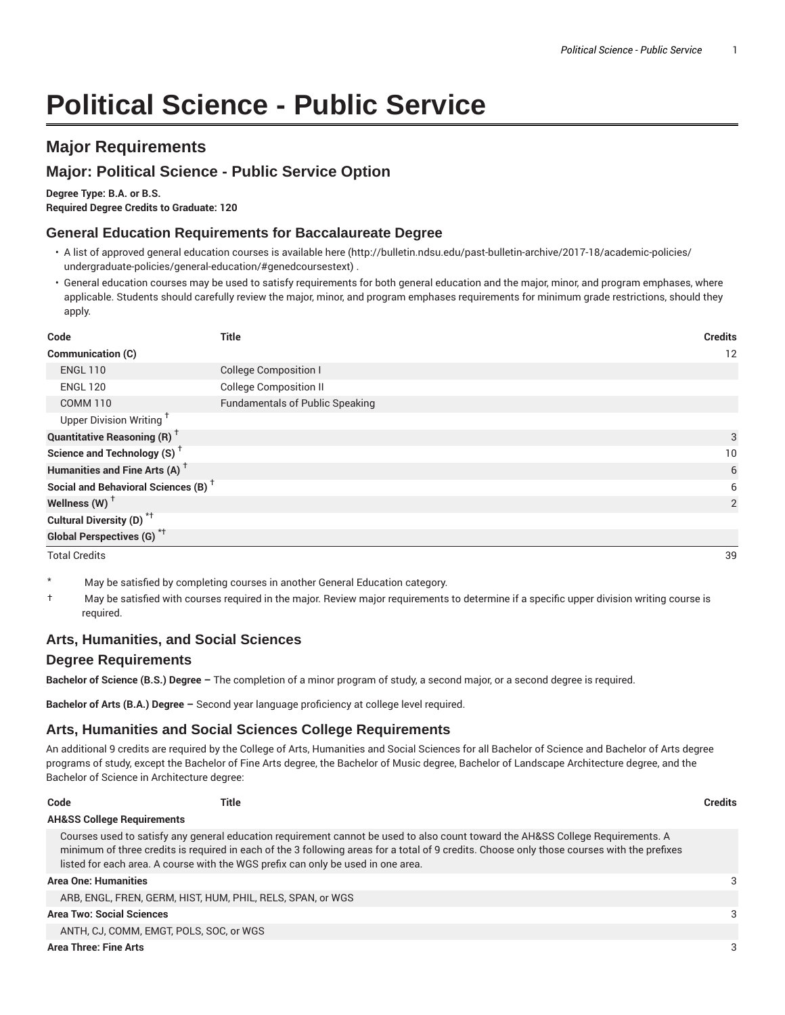# **Political Science - Public Service**

# **Major Requirements**

# **Major: Political Science - Public Service Option**

**Degree Type: B.A. or B.S.**

**Required Degree Credits to Graduate: 120**

#### **General Education Requirements for Baccalaureate Degree**

- A list of approved general education courses is available here (http://bulletin.ndsu.edu/past-bulletin-archive/2017-18/academic-policies/ undergraduate-policies/general-education/#genedcoursestext) .
- General education courses may be used to satisfy requirements for both general education and the major, minor, and program emphases, where applicable. Students should carefully review the major, minor, and program emphases requirements for minimum grade restrictions, should they apply.

| Code                                            | <b>Title</b>                           | <b>Credits</b> |
|-------------------------------------------------|----------------------------------------|----------------|
| Communication (C)                               |                                        | 12             |
| <b>ENGL 110</b>                                 | <b>College Composition I</b>           |                |
| <b>ENGL 120</b>                                 | <b>College Composition II</b>          |                |
| <b>COMM 110</b>                                 | <b>Fundamentals of Public Speaking</b> |                |
| Upper Division Writing <sup>+</sup>             |                                        |                |
| <b>Quantitative Reasoning (R)</b> <sup>†</sup>  |                                        | 3              |
| Science and Technology (S) <sup>+</sup>         |                                        | 10             |
| Humanities and Fine Arts (A) <sup>+</sup>       |                                        | 6              |
| Social and Behavioral Sciences (B) <sup>+</sup> |                                        | 6              |
| Wellness (W) $^{\dagger}$                       |                                        | 2              |
| Cultural Diversity (D) <sup>*†</sup>            |                                        |                |
| <b>Global Perspectives (G)<sup>*†</sup></b>     |                                        |                |

Total Credits 39

- May be satisfied by completing courses in another General Education category.
- † May be satisfied with courses required in the major. Review major requirements to determine if a specific upper division writing course is required.

#### **Arts, Humanities, and Social Sciences**

#### **Degree Requirements**

**Bachelor of Science (B.S.) Degree –** The completion of a minor program of study, a second major, or a second degree is required.

**Bachelor of Arts (B.A.) Degree –** Second year language proficiency at college level required.

### **Arts, Humanities and Social Sciences College Requirements**

An additional 9 credits are required by the College of Arts, Humanities and Social Sciences for all Bachelor of Science and Bachelor of Arts degree programs of study, except the Bachelor of Fine Arts degree, the Bachelor of Music degree, Bachelor of Landscape Architecture degree, and the Bachelor of Science in Architecture degree:

| Code                                  | Title                                                                            |                                                                                                                                                                                                                                                                                | <b>Credits</b> |
|---------------------------------------|----------------------------------------------------------------------------------|--------------------------------------------------------------------------------------------------------------------------------------------------------------------------------------------------------------------------------------------------------------------------------|----------------|
| <b>AH&amp;SS College Requirements</b> |                                                                                  |                                                                                                                                                                                                                                                                                |                |
|                                       | listed for each area. A course with the WGS prefix can only be used in one area. | Courses used to satisfy any general education requirement cannot be used to also count toward the AH&SS College Requirements. A<br>minimum of three credits is required in each of the 3 following areas for a total of 9 credits. Choose only those courses with the prefixes |                |
| Area One: Humanities                  |                                                                                  |                                                                                                                                                                                                                                                                                | 3              |
|                                       | ARB, ENGL, FREN, GERM, HIST, HUM, PHIL, RELS, SPAN, or WGS                       |                                                                                                                                                                                                                                                                                |                |
| Area Two: Social Sciences             |                                                                                  |                                                                                                                                                                                                                                                                                | 3              |
|                                       | ANTH, CJ, COMM, EMGT, POLS, SOC, or WGS                                          |                                                                                                                                                                                                                                                                                |                |
|                                       |                                                                                  |                                                                                                                                                                                                                                                                                |                |

**Area Three: Fine Arts** 3